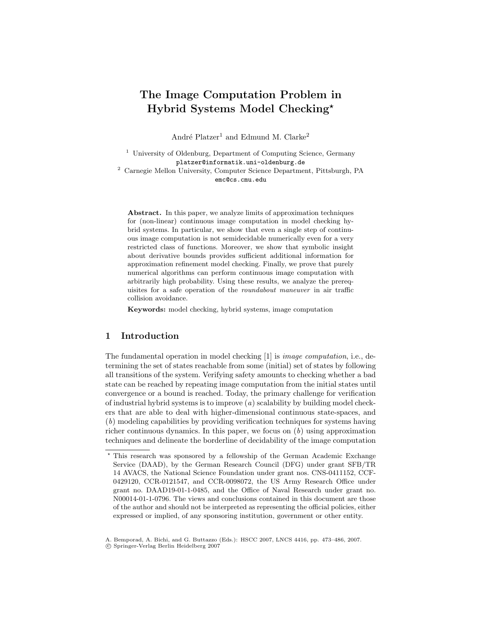# The Image Computation Problem in Hybrid Systems Model Checking?

André Platzer<sup>1</sup> and Edmund M. Clarke<sup>2</sup>

<sup>1</sup> University of Oldenburg, Department of Computing Science, Germany platzer@informatik.uni-oldenburg.de <sup>2</sup> Carnegie Mellon University, Computer Science Department, Pittsburgh, PA emc@cs.cmu.edu

Abstract. In this paper, we analyze limits of approximation techniques for (non-linear) continuous image computation in model checking hybrid systems. In particular, we show that even a single step of continuous image computation is not semidecidable numerically even for a very restricted class of functions. Moreover, we show that symbolic insight about derivative bounds provides sufficient additional information for approximation refinement model checking. Finally, we prove that purely numerical algorithms can perform continuous image computation with arbitrarily high probability. Using these results, we analyze the prerequisites for a safe operation of the roundabout maneuver in air traffic collision avoidance.

Keywords: model checking, hybrid systems, image computation

## 1 Introduction

The fundamental operation in model checking [1] is image computation, i.e., determining the set of states reachable from some (initial) set of states by following all transitions of the system. Verifying safety amounts to checking whether a bad state can be reached by repeating image computation from the initial states until convergence or a bound is reached. Today, the primary challenge for verification of industrial hybrid systems is to improve  $(a)$  scalability by building model checkers that are able to deal with higher-dimensional continuous state-spaces, and (b) modeling capabilities by providing verification techniques for systems having richer continuous dynamics. In this paper, we focus on  $(b)$  using approximation techniques and delineate the borderline of decidability of the image computation

<sup>?</sup> This research was sponsored by a fellowship of the German Academic Exchange Service (DAAD), by the German Research Council (DFG) under grant SFB/TR 14 AVACS, the National Science Foundation under grant nos. CNS-0411152, CCF-0429120, CCR-0121547, and CCR-0098072, the US Army Research Office under grant no. DAAD19-01-1-0485, and the Office of Naval Research under grant no. N00014-01-1-0796. The views and conclusions contained in this document are those of the author and should not be interpreted as representing the official policies, either expressed or implied, of any sponsoring institution, government or other entity.

A. Bemporad, A. Bichi, and G. Buttazzo (Eds.): HSCC 2007, LNCS 4416, pp. 473–486, 2007.

c Springer-Verlag Berlin Heidelberg 2007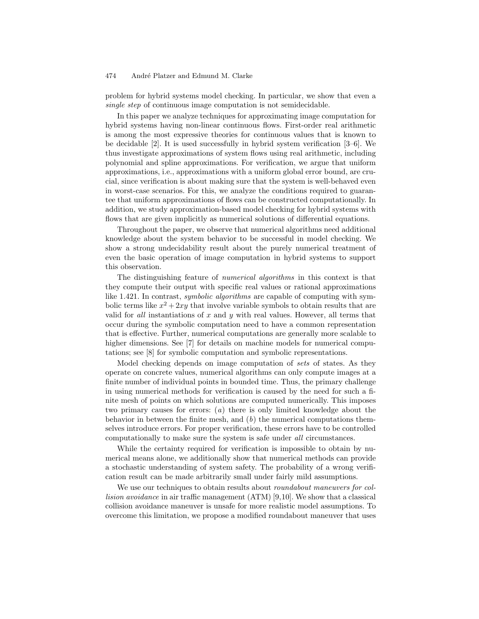problem for hybrid systems model checking. In particular, we show that even a single step of continuous image computation is not semidecidable.

In this paper we analyze techniques for approximating image computation for hybrid systems having non-linear continuous flows. First-order real arithmetic is among the most expressive theories for continuous values that is known to be decidable [2]. It is used successfully in hybrid system verification [3–6]. We thus investigate approximations of system flows using real arithmetic, including polynomial and spline approximations. For verification, we argue that uniform approximations, i.e., approximations with a uniform global error bound, are crucial, since verification is about making sure that the system is well-behaved even in worst-case scenarios. For this, we analyze the conditions required to guarantee that uniform approximations of flows can be constructed computationally. In addition, we study approximation-based model checking for hybrid systems with flows that are given implicitly as numerical solutions of differential equations.

Throughout the paper, we observe that numerical algorithms need additional knowledge about the system behavior to be successful in model checking. We show a strong undecidability result about the purely numerical treatment of even the basic operation of image computation in hybrid systems to support this observation.

The distinguishing feature of numerical algorithms in this context is that they compute their output with specific real values or rational approximations like 1.421. In contrast, *symbolic algorithms* are capable of computing with symbolic terms like  $x^2 + 2xy$  that involve variable symbols to obtain results that are valid for all instantiations of x and y with real values. However, all terms that occur during the symbolic computation need to have a common representation that is effective. Further, numerical computations are generally more scalable to higher dimensions. See [7] for details on machine models for numerical computations; see [8] for symbolic computation and symbolic representations.

Model checking depends on image computation of sets of states. As they operate on concrete values, numerical algorithms can only compute images at a finite number of individual points in bounded time. Thus, the primary challenge in using numerical methods for verification is caused by the need for such a finite mesh of points on which solutions are computed numerically. This imposes two primary causes for errors: (a) there is only limited knowledge about the behavior in between the finite mesh, and  $(b)$  the numerical computations themselves introduce errors. For proper verification, these errors have to be controlled computationally to make sure the system is safe under all circumstances.

While the certainty required for verification is impossible to obtain by numerical means alone, we additionally show that numerical methods can provide a stochastic understanding of system safety. The probability of a wrong verification result can be made arbitrarily small under fairly mild assumptions.

We use our techniques to obtain results about *roundabout maneuvers for col*lision avoidance in air traffic management (ATM) [9,10]. We show that a classical collision avoidance maneuver is unsafe for more realistic model assumptions. To overcome this limitation, we propose a modified roundabout maneuver that uses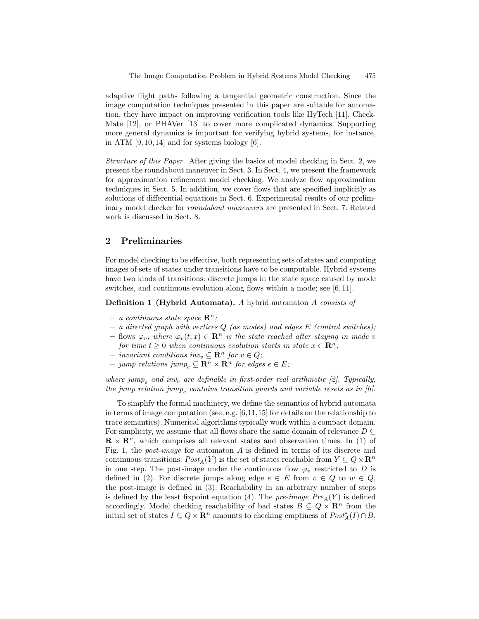adaptive flight paths following a tangential geometric construction. Since the image computation techniques presented in this paper are suitable for automation, they have impact on improving verification tools like HyTech [11], Check-Mate [12], or PHAVer [13] to cover more complicated dynamics. Supporting more general dynamics is important for verifying hybrid systems, for instance, in ATM  $[9, 10, 14]$  and for systems biology  $[6]$ .

Structure of this Paper. After giving the basics of model checking in Sect. 2, we present the roundabout maneuver in Sect. 3. In Sect. 4, we present the framework for approximation refinement model checking. We analyze flow approximation techniques in Sect. 5. In addition, we cover flows that are specified implicitly as solutions of differential equations in Sect. 6. Experimental results of our preliminary model checker for *roundabout maneuvers* are presented in Sect. 7. Related work is discussed in Sect. 8.

## 2 Preliminaries

For model checking to be effective, both representing sets of states and computing images of sets of states under transitions have to be computable. Hybrid systems have two kinds of transitions: discrete jumps in the state space caused by mode switches, and continuous evolution along flows within a mode; see [6,11].

Definition 1 (Hybrid Automata). A hybrid automaton A consists of

- a continuous state space  $\mathbf{R}^n$ ;
- $-$  a directed graph with vertices  $Q$  (as modes) and edges  $E$  (control switches);
- flows  $\varphi_v$ , where  $\varphi_v(t; x) \in \mathbb{R}^n$  is the state reached after staying in mode v for time  $t \geq 0$  when continuous evolution starts in state  $x \in \mathbb{R}^n$ ;
- *–* invariant conditions inv<sub>v</sub> ⊆  $\mathbf{R}^n$  for  $v \in Q$ ;
- jump relations jump<sub>e</sub> ⊆  $\mathbf{R}^n \times \mathbf{R}^n$  for edges  $e \in E$ ;

where jump<sub>e</sub> and inv<sub>v</sub> are definable in first-order real arithmetic [2]. Typically, the jump relation jump<sub>e</sub> contains transition guards and variable resets as in [6].

To simplify the formal machinery, we define the semantics of hybrid automata in terms of image computation (see, e.g. [6,11,15] for details on the relationship to trace semantics). Numerical algorithms typically work within a compact domain. For simplicity, we assume that all flows share the same domain of relevance  $D \subseteq$  $\mathbf{R} \times \mathbf{R}^n$ , which comprises all relevant states and observation times. In (1) of Fig. 1, the post-image for automaton A is defined in terms of its discrete and continuous transitions:  $Post_A(Y)$  is the set of states reachable from  $Y \subseteq Q \times \mathbb{R}^n$ in one step. The post-image under the continuous flow  $\varphi_v$  restricted to D is defined in (2). For discrete jumps along edge  $e \in E$  from  $v \in Q$  to  $w \in Q$ , the post-image is defined in (3). Reachability in an arbitrary number of steps is defined by the least fixpoint equation (4). The pre-image  $Pre_A(Y)$  is defined accordingly. Model checking reachability of bad states  $B \subseteq Q \times \mathbb{R}^n$  from the initial set of states  $I \subseteq Q \times \mathbb{R}^n$  amounts to checking emptiness of  $Post_A^*(I) \cap B$ .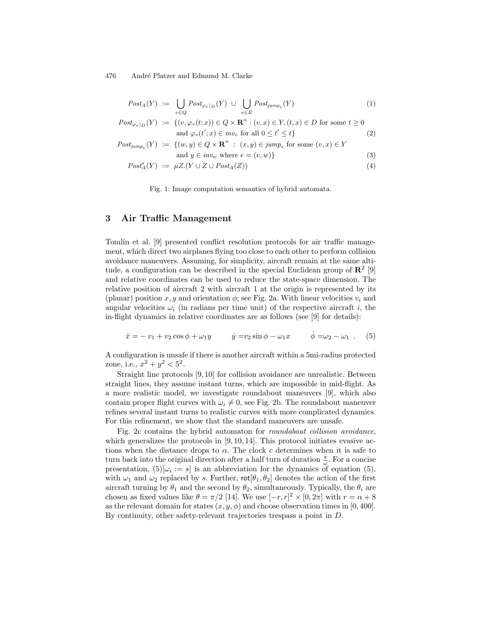$$
Post_A(Y) := \bigcup_{v \in Q} Post_{\varphi_v|_D}(Y) \cup \bigcup_{e \in E} Post_{jump_e}(Y)
$$
  

$$
Post_{\varphi_v|_D}(Y) := \{ (v, \varphi_v(t; x)) \in Q \times \mathbb{R}^n : (v, x) \in Y, (t, x) \in D \text{ for some } t \ge 0 \}
$$

$$
\text{and } \varphi_v(t';x) \in inv_v \text{ for all } 0 \le t' \le t \}
$$
 (2)

$$
Post_{jump_e}(Y) := \{(w, y) \in Q \times \mathbf{R}^n : (x, y) \in jump_e \text{ for some } (v, x) \in Y
$$
  
and  $y \in inv_{x}$  where  $e = (v, w)$  (3)

$$
Post_A^*(Y) := \mu Z.(Y \cup Z \cup Post_A(Z)) \tag{9}
$$
\n
$$
(9)
$$

Fig. 1: Image computation semantics of hybrid automata.

## 3 Air Traffic Management

Tomlin et al. [9] presented conflict resolution protocols for air traffic management, which direct two airplanes flying too close to each other to perform collision avoidance maneuvers. Assuming, for simplicity, aircraft remain at the same altitude, a configuration can be described in the special Euclidean group of  $\mathbb{R}^2$  [9] and relative coordinates can be used to reduce the state-space dimension. The relative position of aircraft 2 with aircraft 1 at the origin is represented by its (planar) position x, y and orientation  $\phi$ ; see Fig. 2a. With linear velocities  $v_i$  and angular velocities  $\omega_i$  (in radians per time unit) of the respective aircraft i, the in-flight dynamics in relative coordinates are as follows (see [9] for details):

$$
\dot{x} = -v_1 + v_2 \cos \phi + \omega_1 y \qquad \dot{y} = v_2 \sin \phi - \omega_1 x \qquad \dot{\phi} = \omega_2 - \omega_1 . \tag{5}
$$

A configuration is unsafe if there is another aircraft within a 5mi-radius protected zone, i.e.,  $x^2 + y^2 < 5^2$ .

Straight line protocols [9, 10] for collision avoidance are unrealistic. Between straight lines, they assume instant turns, which are impossible in mid-flight. As a more realistic model, we investigate roundabout maneuvers [9], which also contain proper flight curves with  $\omega_i \neq 0$ , see Fig. 2b. The roundabout maneuver refines several instant turns to realistic curves with more complicated dynamics. For this refinement, we show that the standard maneuvers are unsafe.

Fig. 2c contains the hybrid automaton for roundabout collision avoidance, which generalizes the protocols in [9, 10, 14]. This protocol initiates evasive actions when the distance drops to  $\alpha$ . The clock c determines when it is safe to turn back into the original direction after a half turn of duration  $\frac{\pi}{\omega}$ . For a concise presentation,  $(5)[\omega_i := s]$  is an abbreviation for the dynamics of equation  $(5)$ , with  $\omega_1$  and  $\omega_2$  replaced by s. Further,  $\text{rot}[\theta_1, \theta_2]$  denotes the action of the first aircraft turning by  $\theta_1$  and the second by  $\theta_2$ , simultaneously. Typically, the  $\theta_i$  are chosen as fixed values like  $\theta = \pi/2$  [14]. We use  $[-r, r]^2 \times [0, 2\pi]$  with  $r = \alpha + 8$ as the relevant domain for states  $(x, y, \phi)$  and choose observation times in [0, 400]. By continuity, other safety-relevant trajectories trespass a point in D.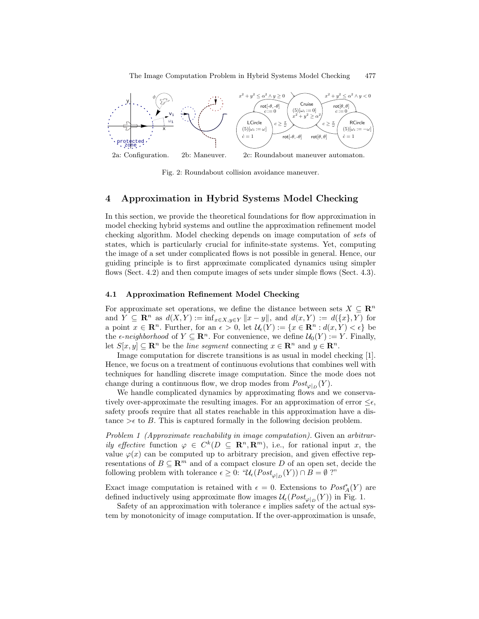

Fig. 2: Roundabout collision avoidance maneuver.

## 4 Approximation in Hybrid Systems Model Checking

In this section, we provide the theoretical foundations for flow approximation in model checking hybrid systems and outline the approximation refinement model checking algorithm. Model checking depends on image computation of sets of states, which is particularly crucial for infinite-state systems. Yet, computing the image of a set under complicated flows is not possible in general. Hence, our guiding principle is to first approximate complicated dynamics using simpler flows (Sect. 4.2) and then compute images of sets under simple flows (Sect. 4.3).

#### 4.1 Approximation Refinement Model Checking

For approximate set operations, we define the distance between sets  $X \subseteq \mathbb{R}^n$ and  $Y \subseteq \mathbb{R}^n$  as  $d(X, Y) := \inf_{x \in X, y \in Y} ||x - y||$ , and  $d(x, Y) := d(\{x\}, Y)$  for a point  $x \in \mathbb{R}^n$ . Further, for an  $\epsilon > 0$ , let  $\mathcal{U}_{\epsilon}(Y) := \{x \in \mathbb{R}^n : d(x, Y) < \epsilon\}$  be the  $\epsilon$ -neighborhood of  $Y \subseteq \mathbb{R}^n$ . For convenience, we define  $\mathcal{U}_0(Y) := Y$ . Finally, let  $S[x, y] \subseteq \mathbb{R}^n$  be the line segment connecting  $x \in \mathbb{R}^n$  and  $y \in \mathbb{R}^n$ .

Image computation for discrete transitions is as usual in model checking [1]. Hence, we focus on a treatment of continuous evolutions that combines well with techniques for handling discrete image computation. Since the mode does not change during a continuous flow, we drop modes from  $Post_{\varphi|_D}(Y)$ .

We handle complicated dynamics by approximating flows and we conservatively over-approximate the resulting images. For an approximation of error  $\leq \epsilon$ , safety proofs require that all states reachable in this approximation have a distance  $\geq \epsilon$  to B. This is captured formally in the following decision problem.

Problem 1 (Approximate reachability in image computation). Given an arbitrarily effective function  $\varphi \in C^k(D \subseteq \mathbb{R}^n, \mathbb{R}^m)$ , i.e., for rational input x, the value  $\varphi(x)$  can be computed up to arbitrary precision, and given effective representations of  $B \subseteq \mathbb{R}^m$  and of a compact closure D of an open set, decide the following problem with tolerance  $\epsilon \geq 0$ : " $\mathcal{U}_{\epsilon}(\text{Post}_{\varphi|_{D}}(Y)) \cap B = \emptyset$ ?"

Exact image computation is retained with  $\epsilon = 0$ . Extensions to  $Post^*_A(Y)$  are defined inductively using approximate flow images  $\mathcal{U}_{\epsilon}(\mathit{Post}_{\varphi|_D}(Y))$  in Fig. 1.

Safety of an approximation with tolerance  $\epsilon$  implies safety of the actual system by monotonicity of image computation. If the over-approximation is unsafe,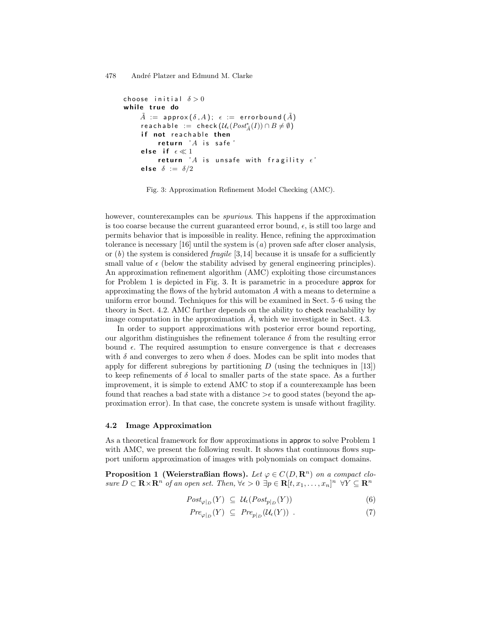```
choose initial \delta > 0while true do
\tilde{A} := approx(\delta, A); \epsilon := errorbound (\tilde{A})\mathsf{reachable} \ := \ \mathsf{check}\left( \mathcal{U}_{\epsilon}(\mathit{Post}_{\tilde{A}}^{*}(I)) \cap B \neq \emptyset \right)if not reachable then
       return 'A is safe
else if \epsilon \ll 1return 'A is unsafe with fragility \epsilon'
else \delta := \delta/2
```
Fig. 3: Approximation Refinement Model Checking (AMC).

however, counterexamples can be *spurious*. This happens if the approximation is too coarse because the current guaranteed error bound,  $\epsilon$ , is still too large and permits behavior that is impossible in reality. Hence, refining the approximation tolerance is necessary [16] until the system is  $(a)$  proven safe after closer analysis, or  $(b)$  the system is considered *fragile* [3,14] because it is unsafe for a sufficiently small value of  $\epsilon$  (below the stability advised by general engineering principles). An approximation refinement algorithm (AMC) exploiting those circumstances for Problem 1 is depicted in Fig. 3. It is parametric in a procedure approx for approximating the flows of the hybrid automaton A with a means to determine a uniform error bound. Techniques for this will be examined in Sect. 5–6 using the theory in Sect. 4.2. AMC further depends on the ability to check reachability by image computation in the approximation  $A$ , which we investigate in Sect. 4.3.

In order to support approximations with posterior error bound reporting, our algorithm distinguishes the refinement tolerance  $\delta$  from the resulting error bound  $\epsilon$ . The required assumption to ensure convergence is that  $\epsilon$  decreases with  $\delta$  and converges to zero when  $\delta$  does. Modes can be split into modes that apply for different subregions by partitioning  $D$  (using the techniques in [13]) to keep refinements of  $\delta$  local to smaller parts of the state space. As a further improvement, it is simple to extend AMC to stop if a counterexample has been found that reaches a bad state with a distance  $\geq \epsilon$  to good states (beyond the approximation error). In that case, the concrete system is unsafe without fragility.

#### 4.2 Image Approximation

As a theoretical framework for flow approximations in approx to solve Problem 1 with AMC, we present the following result. It shows that continuous flows support uniform approximation of images with polynomials on compact domains.

**Proposition 1 (Weierstraßian flows).** Let  $\varphi \in C(D, \mathbb{R}^n)$  on a compact closure  $D \subset \mathbf{R} \times \mathbf{R}^n$  of an open set. Then,  $\forall \epsilon > 0 \ \exists p \in \mathbf{R}[t, x_1, \dots, x_n]^n$   $\forall Y \subseteq \mathbf{R}^n$ 

$$
Post_{\varphi|_D}(Y) \subseteq \mathcal{U}_{\epsilon}(Post_{p|_D}(Y))
$$
 (6)

$$
Pre_{\varphi|_D}(Y) \subseteq Pre_{p|_D}(\mathcal{U}_{\epsilon}(Y)) . \tag{7}
$$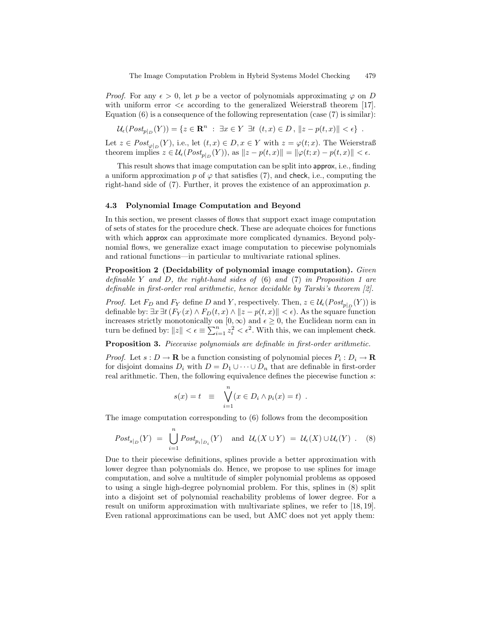*Proof.* For any  $\epsilon > 0$ , let p be a vector of polynomials approximating  $\varphi$  on D with uniform error  $\lt \epsilon$  according to the generalized Weierstraß theorem [17]. Equation  $(6)$  is a consequence of the following representation (case  $(7)$  is similar):

$$
\mathcal{U}_{\epsilon}(Post_{p|_{D}}(Y)) = \{ z \in \mathbf{R}^{n} : \exists x \in Y \; \exists t \; (t,x) \in D \, , \, \|z - p(t,x)\| < \epsilon \} \; .
$$

Let  $z \in Post_{\varphi|_D}(Y)$ , i.e., let  $(t, x) \in D, x \in Y$  with  $z = \varphi(t; x)$ . The Weierstraß theorem implies  $z \in \mathcal{U}_{\epsilon}(\text{Post}_{p|_{D}}(Y))$ , as  $||z - p(t, x)|| = ||\varphi(t; x) - p(t, x)|| < \epsilon$ .

This result shows that image computation can be split into approx, i.e., finding a uniform approximation p of  $\varphi$  that satisfies (7), and check, i.e., computing the right-hand side of (7). Further, it proves the existence of an approximation p.

#### 4.3 Polynomial Image Computation and Beyond

In this section, we present classes of flows that support exact image computation of sets of states for the procedure check. These are adequate choices for functions with which approx can approximate more complicated dynamics. Beyond polynomial flows, we generalize exact image computation to piecewise polynomials and rational functions—in particular to multivariate rational splines.

Proposition 2 (Decidability of polynomial image computation). Given definable Y and D, the right-hand sides of  $(6)$  and  $(7)$  in Proposition 1 are definable in first-order real arithmetic, hence decidable by Tarski's theorem [2].

*Proof.* Let  $F_D$  and  $F_Y$  define D and Y, respectively. Then,  $z \in \mathcal{U}_{\epsilon}(Post_{p|_D}(Y))$  is definable by:  $\exists x \, \exists t (F_Y(x) \land F_D(t, x) \land ||z - p(t, x)|| < \epsilon$ ). As the square function increases strictly monotonically on  $[0, \infty)$  and  $\epsilon \geq 0$ , the Euclidean norm can in turn be defined by:  $||z|| < \epsilon \equiv \sum_{i=1}^{n} z_i^2 < \epsilon^2$ . With this, we can implement check.

Proposition 3. Piecewise polynomials are definable in first-order arithmetic.

*Proof.* Let  $s: D \to \mathbf{R}$  be a function consisting of polynomial pieces  $P_i: D_i \to \mathbf{R}$ for disjoint domains  $D_i$  with  $D = D_1 \cup \cdots \cup D_n$  that are definable in first-order real arithmetic. Then, the following equivalence defines the piecewise function s:

$$
s(x) = t \equiv \bigvee_{i=1}^{n} (x \in D_i \wedge p_i(x) = t) .
$$

The image computation corresponding to (6) follows from the decomposition

$$
Post_{s|_{D}}(Y) = \bigcup_{i=1}^{n} Post_{p_{i}|_{D_{i}}}(Y) \text{ and } U_{\epsilon}(X \cup Y) = U_{\epsilon}(X) \cup U_{\epsilon}(Y) . (8)
$$

Due to their piecewise definitions, splines provide a better approximation with lower degree than polynomials do. Hence, we propose to use splines for image computation, and solve a multitude of simpler polynomial problems as opposed to using a single high-degree polynomial problem. For this, splines in (8) split into a disjoint set of polynomial reachability problems of lower degree. For a result on uniform approximation with multivariate splines, we refer to [18, 19]. Even rational approximations can be used, but AMC does not yet apply them: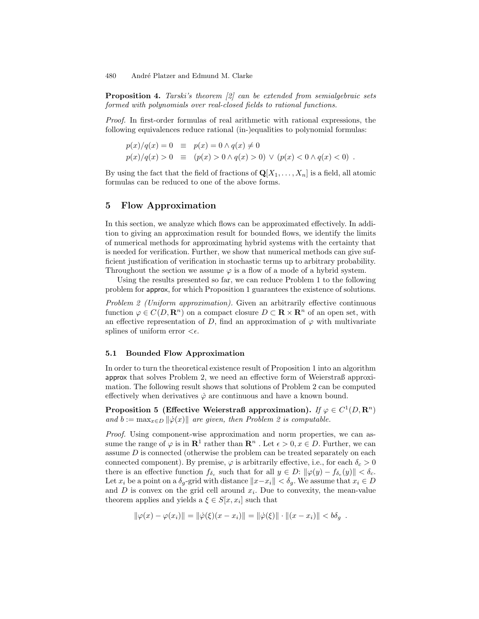**Proposition 4.** Tarski's theorem [2] can be extended from semialgebraic sets formed with polynomials over real-closed fields to rational functions.

Proof. In first-order formulas of real arithmetic with rational expressions, the following equivalences reduce rational (in-)equalities to polynomial formulas:

$$
p(x)/q(x) = 0 \equiv p(x) = 0 \land q(x) \neq 0
$$
  

$$
p(x)/q(x) > 0 \equiv (p(x) > 0 \land q(x) > 0) \lor (p(x) < 0 \land q(x) < 0).
$$

By using the fact that the field of fractions of  $\mathbf{Q}[X_1, \ldots, X_n]$  is a field, all atomic formulas can be reduced to one of the above forms.

## 5 Flow Approximation

In this section, we analyze which flows can be approximated effectively. In addition to giving an approximation result for bounded flows, we identify the limits of numerical methods for approximating hybrid systems with the certainty that is needed for verification. Further, we show that numerical methods can give sufficient justification of verification in stochastic terms up to arbitrary probability. Throughout the section we assume  $\varphi$  is a flow of a mode of a hybrid system.

Using the results presented so far, we can reduce Problem 1 to the following problem for approx, for which Proposition 1 guarantees the existence of solutions.

Problem 2 (Uniform approximation). Given an arbitrarily effective continuous function  $\varphi \in C(D, \mathbf{R}^n)$  on a compact closure  $D \subset \mathbf{R} \times \mathbf{R}^n$  of an open set, with an effective representation of D, find an approximation of  $\varphi$  with multivariate splines of uniform error  $\lt \epsilon$ .

#### 5.1 Bounded Flow Approximation

In order to turn the theoretical existence result of Proposition 1 into an algorithm approx that solves Problem 2, we need an effective form of Weierstraß approximation. The following result shows that solutions of Problem 2 can be computed effectively when derivatives  $\dot{\varphi}$  are continuous and have a known bound.

Proposition 5 (Effective Weierstraß approximation). If  $\varphi \in C^1(D, \mathbf{R}^n)$ and  $b := \max_{x \in D} ||\dot{\varphi}(x)||$  are given, then Problem 2 is computable.

Proof. Using component-wise approximation and norm properties, we can assume the range of  $\varphi$  is in  $\mathbb{R}^1$  rather than  $\mathbb{R}^n$ . Let  $\epsilon > 0, x \in D$ . Further, we can assume  $D$  is connected (otherwise the problem can be treated separately on each connected component). By premise,  $\varphi$  is arbitrarily effective, i.e., for each  $\delta_c > 0$ there is an effective function  $f_{\delta_c}$  such that for all  $y \in D: ||\varphi(y) - f_{\delta_c}(y)|| < \delta_c$ . Let  $x_i$  be a point on a  $\delta_q$ -grid with distance  $||x-x_i|| < \delta_g$ . We assume that  $x_i \in D$ and  $D$  is convex on the grid cell around  $x_i$ . Due to convexity, the mean-value theorem applies and yields a  $\xi \in S[x, x_i]$  such that

$$
\|\varphi(x) - \varphi(x_i)\| = \|\dot{\varphi}(\xi)(x - x_i)\| = \|\dot{\varphi}(\xi)\| \cdot \|(x - x_i)\| < b\delta_g.
$$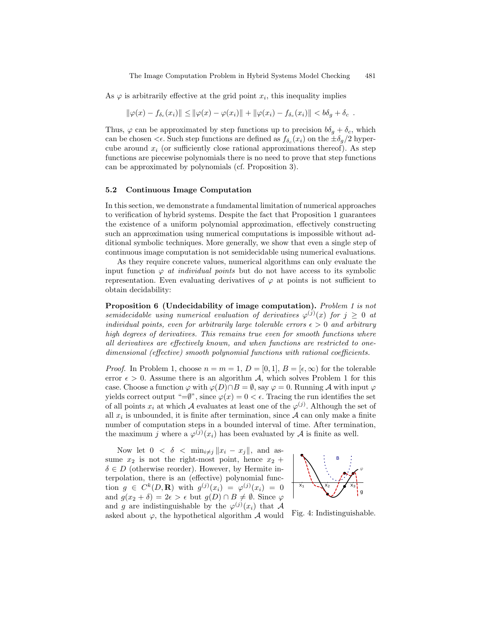As  $\varphi$  is arbitrarily effective at the grid point  $x_i$ , this inequality implies

$$
\|\varphi(x) - f_{\delta_c}(x_i)\| \le \|\varphi(x) - \varphi(x_i)\| + \|\varphi(x_i) - f_{\delta_c}(x_i)\| < b\delta_g + \delta_c.
$$

Thus,  $\varphi$  can be approximated by step functions up to precision  $b\delta_q + \delta_c$ , which can be chosen  $\lt \epsilon$ . Such step functions are defined as  $f_{\delta_c}(x_i)$  on the  $\pm \delta_g/2$  hypercube around  $x_i$  (or sufficiently close rational approximations thereof). As step functions are piecewise polynomials there is no need to prove that step functions can be approximated by polynomials (cf. Proposition 3).

#### 5.2 Continuous Image Computation

In this section, we demonstrate a fundamental limitation of numerical approaches to verification of hybrid systems. Despite the fact that Proposition 1 guarantees the existence of a uniform polynomial approximation, effectively constructing such an approximation using numerical computations is impossible without additional symbolic techniques. More generally, we show that even a single step of continuous image computation is not semidecidable using numerical evaluations.

As they require concrete values, numerical algorithms can only evaluate the input function  $\varphi$  *at individual points* but do not have access to its symbolic representation. Even evaluating derivatives of  $\varphi$  at points is not sufficient to obtain decidability:

Proposition 6 (Undecidability of image computation). Problem 1 is not semidecidable using numerical evaluation of derivatives  $\varphi^{(j)}(x)$  for  $j \geq 0$  at individual points, even for arbitrarily large tolerable errors  $\epsilon > 0$  and arbitrary high degrees of derivatives. This remains true even for smooth functions where all derivatives are effectively known, and when functions are restricted to onedimensional (effective) smooth polynomial functions with rational coefficients.

*Proof.* In Problem 1, choose  $n = m = 1$ ,  $D = [0, 1]$ ,  $B = [\epsilon, \infty)$  for the tolerable error  $\epsilon > 0$ . Assume there is an algorithm A, which solves Problem 1 for this case. Choose a function  $\varphi$  with  $\varphi(D) \cap B = \emptyset$ , say  $\varphi = 0$ . Running A with input  $\varphi$ yields correct output "= $\emptyset$ ", since  $\varphi(x) = 0 < \epsilon$ . Tracing the run identifies the set of all points  $x_i$  at which A evaluates at least one of the  $\varphi^{(j)}$ . Although the set of all  $x_i$  is unbounded, it is finite after termination, since  $A$  can only make a finite number of computation steps in a bounded interval of time. After termination, the maximum j where a  $\varphi^{(j)}(x_i)$  has been evaluated by A is finite as well.

Now let  $0 < \delta < \min_{i \neq j} ||x_i - x_j||$ , and assume  $x_2$  is not the right-most point, hence  $x_2$  +  $\delta \in D$  (otherwise reorder). However, by Hermite interpolation, there is an (effective) polynomial function  $g \in C^k(D, \mathbf{R})$  with  $g^{(j)}(x_i) = \varphi^{(j)}(x_i) = 0$ and  $g(x_2 + \delta) = 2\epsilon > \epsilon$  but  $g(D) \cap B \neq \emptyset$ . Since  $\varphi$ and g are indistinguishable by the  $\varphi^{(j)}(x_i)$  that A asked about  $\varphi$ , the hypothetical algorithm  $\mathcal A$  would



Fig. 4: Indistinguishable.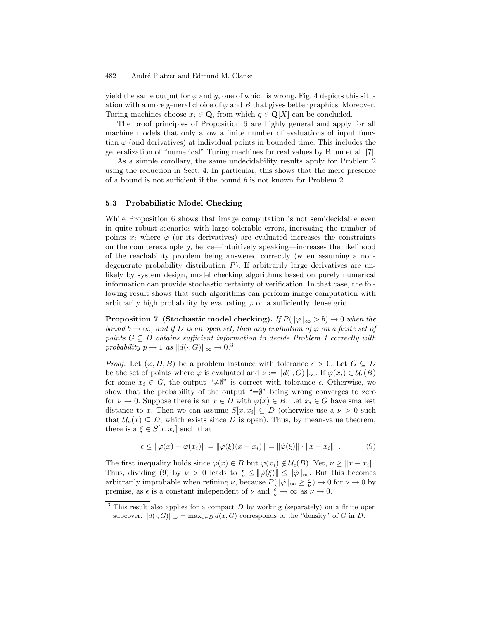yield the same output for  $\varphi$  and g, one of which is wrong. Fig. 4 depicts this situation with a more general choice of  $\varphi$  and B that gives better graphics. Moreover, Turing machines choose  $x_i \in \mathbf{Q}$ , from which  $g \in \mathbf{Q}[X]$  can be concluded.

The proof principles of Proposition 6 are highly general and apply for all machine models that only allow a finite number of evaluations of input function  $\varphi$  (and derivatives) at individual points in bounded time. This includes the generalization of "numerical" Turing machines for real values by Blum et al. [7].

As a simple corollary, the same undecidability results apply for Problem 2 using the reduction in Sect. 4. In particular, this shows that the mere presence of a bound is not sufficient if the bound b is not known for Problem 2.

### 5.3 Probabilistic Model Checking

While Proposition 6 shows that image computation is not semidecidable even in quite robust scenarios with large tolerable errors, increasing the number of points  $x_i$  where  $\varphi$  (or its derivatives) are evaluated increases the constraints on the counterexample  $g$ , hence—intuitively speaking—increases the likelihood of the reachability problem being answered correctly (when assuming a nondegenerate probability distribution  $P$ ). If arbitrarily large derivatives are unlikely by system design, model checking algorithms based on purely numerical information can provide stochastic certainty of verification. In that case, the following result shows that such algorithms can perform image computation with arbitrarily high probability by evaluating  $\varphi$  on a sufficiently dense grid.

**Proposition 7** (Stochastic model checking). If  $P(||\varphi||_{\infty} > b) \to 0$  when the bound  $b \to \infty$ , and if D is an open set, then any evaluation of  $\varphi$  on a finite set of points  $G \subseteq D$  obtains sufficient information to decide Problem 1 correctly with probability  $p \to 1$  as  $||d(\cdot, G)||_{\infty} \to 0.3$ 

*Proof.* Let  $(\varphi, D, B)$  be a problem instance with tolerance  $\epsilon > 0$ . Let  $G \subseteq D$ be the set of points where  $\varphi$  is evaluated and  $\nu := ||d(\cdot, G)||_{\infty}$ . If  $\varphi(x_i) \in \mathcal{U}_{\epsilon}(B)$ for some  $x_i \in G$ , the output " $\neq \emptyset$ " is correct with tolerance  $\epsilon$ . Otherwise, we show that the probability of the output "= $\emptyset$ " being wrong converges to zero for  $\nu \to 0$ . Suppose there is an  $x \in D$  with  $\varphi(x) \in B$ . Let  $x_i \in G$  have smallest distance to x. Then we can assume  $S[x, x_i] \subseteq D$  (otherwise use a  $\nu > 0$  such that  $\mathcal{U}_{\nu}(x) \subseteq D$ , which exists since D is open). Thus, by mean-value theorem, there is a  $\xi \in S[x, x_i]$  such that

$$
\epsilon \le ||\varphi(x) - \varphi(x_i)|| = ||\dot{\varphi}(\xi)(x - x_i)|| = ||\dot{\varphi}(\xi)|| \cdot ||x - x_i|| \tag{9}
$$

The first inequality holds since  $\varphi(x) \in B$  but  $\varphi(x_i) \notin \mathcal{U}_{\epsilon}(B)$ . Yet,  $\nu \geq ||x - x_i||$ . Thus, dividing (9) by  $\nu > 0$  leads to  $\frac{\epsilon}{\nu} \leq ||\dot{\varphi}(\xi)|| \leq ||\dot{\varphi}||_{\infty}$ . But this becomes arbitrarily improbable when refining  $\nu$ , because  $P(\|\dot{\varphi}\|_{\infty} \geq \frac{\epsilon}{\nu}) \to 0$  for  $\nu \to 0$  by premise, as  $\epsilon$  is a constant independent of  $\nu$  and  $\frac{\epsilon}{\nu} \to \infty$  as  $\nu \to 0$ .

 $3$  This result also applies for a compact  $D$  by working (separately) on a finite open subcover.  $||d(\cdot, G)||_{\infty} = \max_{x \in D} d(x, G)$  corresponds to the "density" of G in D.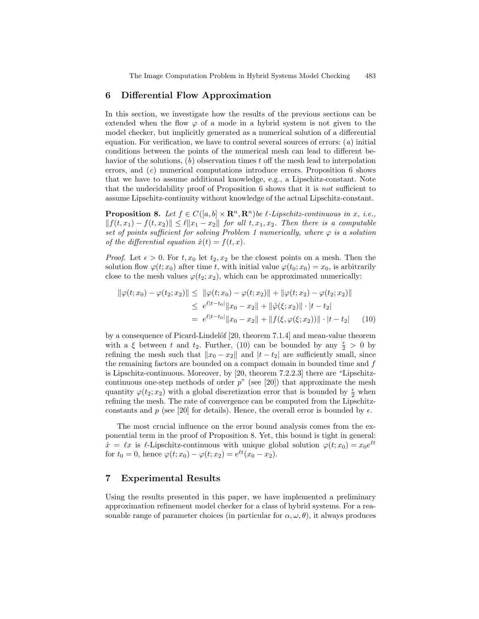## 6 Differential Flow Approximation

In this section, we investigate how the results of the previous sections can be extended when the flow  $\varphi$  of a mode in a hybrid system is not given to the model checker, but implicitly generated as a numerical solution of a differential equation. For verification, we have to control several sources of errors:  $(a)$  initial conditions between the points of the numerical mesh can lead to different behavior of the solutions,  $(b)$  observation times t off the mesh lead to interpolation errors, and (c) numerical computations introduce errors. Proposition 6 shows that we have to assume additional knowledge, e.g., a Lipschitz-constant. Note that the undecidability proof of Proposition 6 shows that it is not sufficient to assume Lipschitz-continuity without knowledge of the actual Lipschitz-constant.

**Proposition 8.** Let  $f \in C([a, b] \times \mathbb{R}^n, \mathbb{R}^n)$  be  $\ell$ -Lipschitz-continuous in x, i.e.,  $||f(t, x_1) - f(t, x_2)|| \leq \ell ||x_1 - x_2||$  for all  $t, x_1, x_2$ . Then there is a computable set of points sufficient for solving Problem 1 numerically, where  $\varphi$  is a solution of the differential equation  $\dot{x}(t) = f(t, x)$ .

*Proof.* Let  $\epsilon > 0$ . For  $t, x_0$  let  $t_2, x_2$  be the closest points on a mesh. Then the solution flow  $\varphi(t; x_0)$  after time t, with initial value  $\varphi(t_0; x_0) = x_0$ , is arbitrarily close to the mesh values  $\varphi(t_2; x_2)$ , which can be approximated numerically:

$$
\|\varphi(t; x_0) - \varphi(t_2; x_2)\| \leq \|\varphi(t; x_0) - \varphi(t; x_2)\| + \|\varphi(t; x_2) - \varphi(t_2; x_2)\|
$$
  
\n
$$
\leq e^{\ell|t-t_0|} \|x_0 - x_2\| + \|\dot{\varphi}(\xi; x_2)\| \cdot |t - t_2|
$$
  
\n
$$
= e^{\ell|t-t_0|} \|x_0 - x_2\| + \|f(\xi, \varphi(\xi; x_2))\| \cdot |t - t_2| \qquad (10)
$$

by a consequence of Picard-Lindelöf  $[20,$  theorem 7.1.4] and mean-value theorem with a  $\xi$  between t and  $t_2$ . Further, (10) can be bounded by any  $\frac{\epsilon}{2} > 0$  by refining the mesh such that  $||x_0 - x_2||$  and  $|t - t_2|$  are sufficiently small, since the remaining factors are bounded on a compact domain in bounded time and  $f$ is Lipschitz-continuous. Moreover, by [20, theorem 7.2.2.3] there are "Lipschitzcontinuous one-step methods of order  $p^{\prime\prime}$  (see [20]) that approximate the mesh quantity  $\varphi(t_2; x_2)$  with a global discretization error that is bounded by  $\frac{\epsilon}{2}$  when refining the mesh. The rate of convergence can be computed from the Lipschitzconstants and p (see [20] for details). Hence, the overall error is bounded by  $\epsilon$ .

The most crucial influence on the error bound analysis comes from the exponential term in the proof of Proposition 8. Yet, this bound is tight in general:  $\dot{x} = \ell x$  is  $\ell$ -Lipschitz-continuous with unique global solution  $\varphi(t; x_0) = x_0 e^{\ell t}$ for  $t_0 = 0$ , hence  $\varphi(t; x_0) - \varphi(t; x_2) = e^{\ell t}(x_0 - x_2)$ .

## 7 Experimental Results

Using the results presented in this paper, we have implemented a preliminary approximation refinement model checker for a class of hybrid systems. For a reasonable range of parameter choices (in particular for  $\alpha, \omega, \theta$ ), it always produces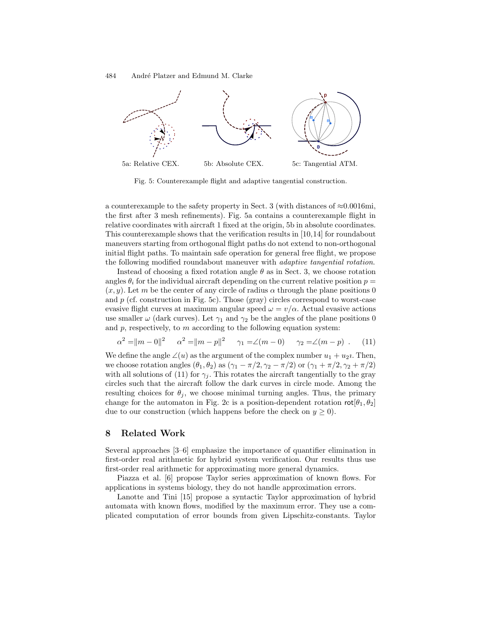

Fig. 5: Counterexample flight and adaptive tangential construction.

a counterexample to the safety property in Sect. 3 (with distances of  $\approx 0.0016$ mi, the first after 3 mesh refinements). Fig. 5a contains a counterexample flight in relative coordinates with aircraft 1 fixed at the origin, 5b in absolute coordinates. This counterexample shows that the verification results in [10,14] for roundabout maneuvers starting from orthogonal flight paths do not extend to non-orthogonal initial flight paths. To maintain safe operation for general free flight, we propose the following modified roundabout maneuver with adaptive tangential rotation.

Instead of choosing a fixed rotation angle  $\theta$  as in Sect. 3, we choose rotation angles  $\theta_i$  for the individual aircraft depending on the current relative position  $p =$  $(x, y)$ . Let m be the center of any circle of radius  $\alpha$  through the plane positions 0 and  $p$  (cf. construction in Fig. 5c). Those (gray) circles correspond to worst-case evasive flight curves at maximum angular speed  $\omega = v/\alpha$ . Actual evasive actions use smaller  $\omega$  (dark curves). Let  $\gamma_1$  and  $\gamma_2$  be the angles of the plane positions 0 and  $p$ , respectively, to  $m$  according to the following equation system:

$$
\alpha^2 = ||m - 0||^2 \qquad \alpha^2 = ||m - p||^2 \qquad \gamma_1 = \angle(m - 0) \qquad \gamma_2 = \angle(m - p) \tag{11}
$$

We define the angle  $\angle(u)$  as the argument of the complex number  $u_1 + u_2i$ . Then, we choose rotation angles  $(\theta_1, \theta_2)$  as  $(\gamma_1 - \pi/2, \gamma_2 - \pi/2)$  or  $(\gamma_1 + \pi/2, \gamma_2 + \pi/2)$ with all solutions of (11) for  $\gamma_i$ . This rotates the aircraft tangentially to the gray circles such that the aircraft follow the dark curves in circle mode. Among the resulting choices for  $\theta_i$ , we choose minimal turning angles. Thus, the primary change for the automaton in Fig. 2c is a position-dependent rotation  $\text{rot}[\theta_1, \theta_2]$ due to our construction (which happens before the check on  $y \geq 0$ ).

# 8 Related Work

Several approaches [3–6] emphasize the importance of quantifier elimination in first-order real arithmetic for hybrid system verification. Our results thus use first-order real arithmetic for approximating more general dynamics.

Piazza et al. [6] propose Taylor series approximation of known flows. For applications in systems biology, they do not handle approximation errors.

Lanotte and Tini [15] propose a syntactic Taylor approximation of hybrid automata with known flows, modified by the maximum error. They use a complicated computation of error bounds from given Lipschitz-constants. Taylor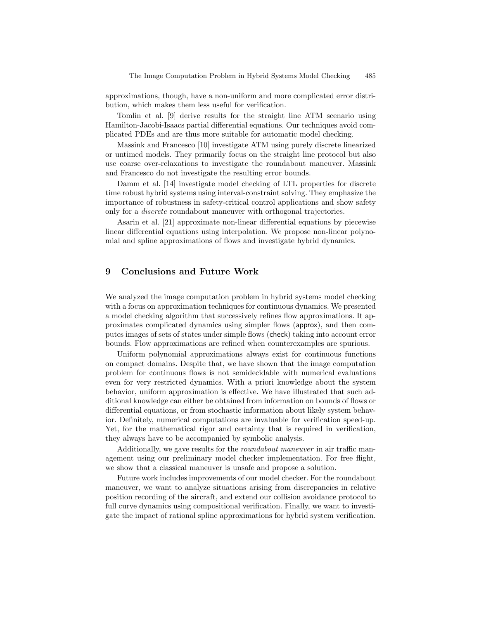approximations, though, have a non-uniform and more complicated error distribution, which makes them less useful for verification.

Tomlin et al. [9] derive results for the straight line ATM scenario using Hamilton-Jacobi-Isaacs partial differential equations. Our techniques avoid complicated PDEs and are thus more suitable for automatic model checking.

Massink and Francesco [10] investigate ATM using purely discrete linearized or untimed models. They primarily focus on the straight line protocol but also use coarse over-relaxations to investigate the roundabout maneuver. Massink and Francesco do not investigate the resulting error bounds.

Damm et al. [14] investigate model checking of LTL properties for discrete time robust hybrid systems using interval-constraint solving. They emphasize the importance of robustness in safety-critical control applications and show safety only for a discrete roundabout maneuver with orthogonal trajectories.

Asarin et al. [21] approximate non-linear differential equations by piecewise linear differential equations using interpolation. We propose non-linear polynomial and spline approximations of flows and investigate hybrid dynamics.

## 9 Conclusions and Future Work

We analyzed the image computation problem in hybrid systems model checking with a focus on approximation techniques for continuous dynamics. We presented a model checking algorithm that successively refines flow approximations. It approximates complicated dynamics using simpler flows (approx), and then computes images of sets of states under simple flows (check) taking into account error bounds. Flow approximations are refined when counterexamples are spurious.

Uniform polynomial approximations always exist for continuous functions on compact domains. Despite that, we have shown that the image computation problem for continuous flows is not semidecidable with numerical evaluations even for very restricted dynamics. With a priori knowledge about the system behavior, uniform approximation is effective. We have illustrated that such additional knowledge can either be obtained from information on bounds of flows or differential equations, or from stochastic information about likely system behavior. Definitely, numerical computations are invaluable for verification speed-up. Yet, for the mathematical rigor and certainty that is required in verification, they always have to be accompanied by symbolic analysis.

Additionally, we gave results for the roundabout maneuver in air traffic management using our preliminary model checker implementation. For free flight, we show that a classical maneuver is unsafe and propose a solution.

Future work includes improvements of our model checker. For the roundabout maneuver, we want to analyze situations arising from discrepancies in relative position recording of the aircraft, and extend our collision avoidance protocol to full curve dynamics using compositional verification. Finally, we want to investigate the impact of rational spline approximations for hybrid system verification.